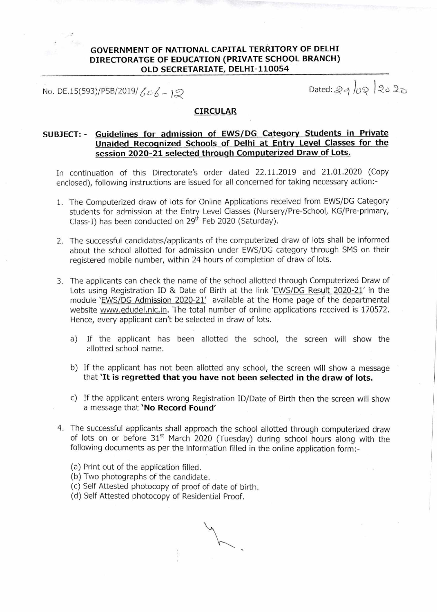# **GOVERNMENT OF NATIONAL CAPITAL TERRITORY OF DELHI DIRECTORATGE OF EDUCATION (PRIVATE SCHOOL BRANCH) OLD SECRETARIATE, DELHI-110054**

No. DE.15(593)/PSB/2019/  $606 - 19$ 

#### **CIRCULAR**

# **SUBJECT: - Guidelines for admission of EWS/DG Category Students in Private Unaided Recognized Schools of Delhi at Entry Level Classes for the session 2020-21 selected through Computerized Draw of Lots.**

In continuation of this Directorate's order dated 22.11.2019 and 21.01.2020 (Copy enclosed), following instructions are issued for all concerned for taking necessary action:-

- 1. The Computerized draw of lots for Online Applications received from EWS/DG Category students for admission at the Entry Level Ciasses (Nursery/Pre-School, KG/Pre-primary, Class-I) has been conducted on  $29<sup>th</sup>$  Feb 2020 (Saturday).
- 2. The successful candidates/applicants of the computerized draw of lots shall be informed about the school allotted for admission under EWS/DG category through SMS on their registered mobile number, within 24 hours of completion of draw of lots.
- 3. The applicants can check the name of the school allotted through Computerized Draw of Lots using Registration ID & Date of Birth at the link 'EWS/DG Result 2020-21' in the module 'EWS/DG Admission 2020-21' available at the Home page of the departmental website www.edudel.nic.in. The total number of online applications received is 170572. Hence, every applicant can't be selected in draw of lots.
	- a) If the applicant has been allotted the school, the screen will show the allotted school name.
	- b) If the applicant has not been allotted any school, the screen will show a message that **'It is regretted that you have not been selected in the draw of lots.**
	- c) If the applicant enters wrong Registration ID/Date of Birth then the screen will show a message that **'No Record Found'**
- 4. The successful applicants shall approach the school allotted through computerized draw of lots on or before  $31<sup>st</sup>$  March 2020 (Tuesday) during school hours along with the following documents as per the information filled in the online application form:-
	- (a) Print out of the application filled.
	- (b) Two photographs of the candidate.
	- (c) Self Attested photocopy of proof of date of birth.
	- (d) Self Attested photocopy of Residential Proof.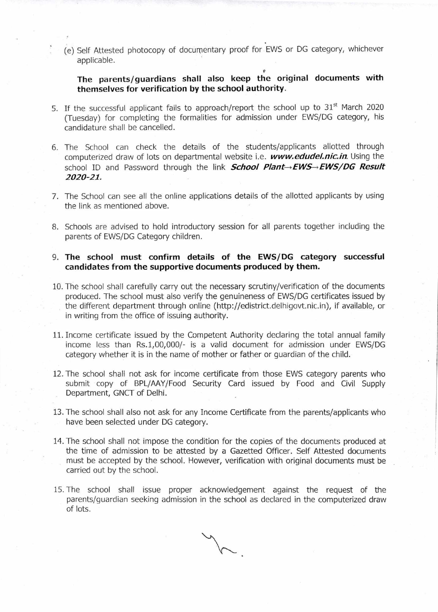(e) Self Attested photocopy of documentary proof for EWS or DG category, whichever applicable.

9 **The parents/guardians shall also keep the original documents with themselves for verification by the school authority.** 

- 5. If the successful applicant fails to approach/report the school up to 31<sup>st</sup> March 2020 (Tuesday) for completing the formalities for admission under EWS/DG category, his candidature shall be cancelled.
- 6. The School can check the details of the students/applicants allotted through computerized draw of lots on departmental website i.e. **www.edudeLnic.in.** Using the school ID and Password through the link **School Plant** $\rightarrow$ **EWS** $\rightarrow$ **EWS**/DG Result **2020-21.**
- 7. The School can see all the online applications details of the allotted applicants by using the link as mentioned above.
- 8. Schools are advised to hold introductory session for all parents together including the parents of EWS/DG Category children.

# **9. The school must confirm details of the EWS/DG category successful candidates from the supportive documents produced by them.**

- 10. The school shall carefully carry out the necessary scrutiny/verification of the documents produced. The school must also verify the genuineness of EWS/DG certificates issued by the different department through online (http://edistrict.delhigovt.nic.in), if available, or in writing from the office of issuing authority.
- 11. Income certificate issued by the Competent Authority declaring the total annual family income less than Rs.1,00,000/- is a valid document for admission under EWS/DG category whether it is in the name of mother or father or guardian of the child.
- 12. The school shall not ask for income certificate from those EWS category parents who submit copy of BPL/AAY/Food Security Card issued by Food and Civil Supply Department, GNCT of Delhi.
- 13. The school shall also not ask for any Income Certificate from the parents/applicants who have been selected under DG category.
- 14. The school shall not impose the condition for the copies of the documents produced at the time of admission to be attested by a Gazetted Officer. Self Attested documents must be accepted by the school. However, verification with original documents must be carried out by the school.
- 15. The school shall issue proper acknowledgement against the request of the parents/guardian seeking admission in the school as declared in the computerized draw of lots.

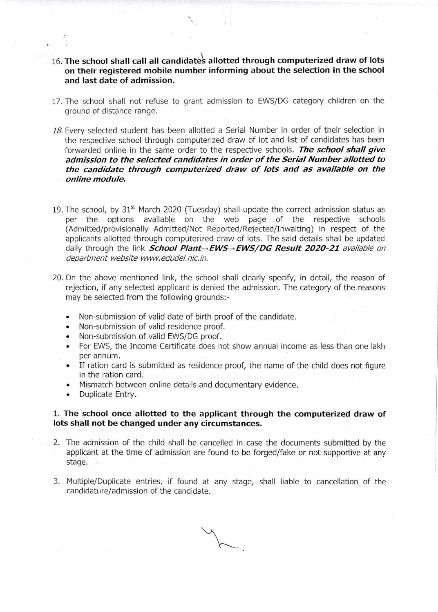- **16. The school shall call all candidate's allotted through computerized draw of lots on their registered mobile number informing about the selection in the school and last date of admission.**
- 17. The school shall not refuse to grant admission to EWS/DG category children on the ground of distance range.
- 18. Every selected student has been allotted a Serial Number in order of their selection in the respective school through computerized draw of lot and list of candidates has been forwarded online in the same order to the respective schools. **The school shall give admission to the selected candidates in order of the Serial Number allotted to the candidate through computerized draw of lots and as available on the online module.**
- 19. The school, by  $31<sup>st</sup>$  March 2020 (Tuesday) shall update the correct admission status as per the options available on the web page of the respective schools (Admitted/provisionally Admitted/Not Reported/Rejected/Inwaiting) in respect of the applicants allotted through computerized draw of lots. The said details shall be updated daily through the link **School Plant->EWS->EWS/DG Result 2020-21** available on department website www.edudel.nic.in.
- 20. On the above mentioned link, the school shall clearly specify, in detail, the reason of rejection, if any selected applicant is denied the admission. The category of the reasons may be selected from the following grounds:-
	- Non-submission of valid date of birth proof of the candidate.
	- Non-submission of valid residence proof.
	- Non-submission of valid EWS/DG proof.
	- For EWS, the Income Certificate does not show annual income as less than one lakh per annum.
	- If ration card is submitted as residence proof, the name of the child does not figure in the ration card.
	- Mismatch between online details and documentary evidence.
	- Duplicate Entry.

#### **1. The school once allotted to the applicant through the computerized draw of lots shall not be changed under any circumstances.**

- 2. The admission of the child shall be cancelled in case the documents submitted by the applicant at the time of admission are found to be forged/fake or not supportive at any stage.
- 3. Multiple/Duplicate entries, if found at any stage, shall liable to cancellation of the candidature/admission of the candidate.